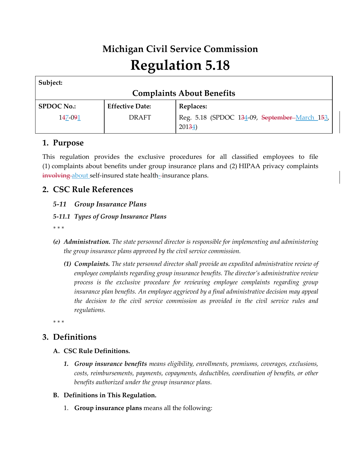# **Michigan Civil Service Commission Regulation 5.18**

| Subject:                         |                        |                                                         |  |
|----------------------------------|------------------------|---------------------------------------------------------|--|
| <b>Complaints About Benefits</b> |                        |                                                         |  |
| <b>SPDOC No.:</b>                | <b>Effective Date:</b> | Replaces:                                               |  |
| 147-091                          | <b>DRAFT</b>           | Reg. 5.18 (SPDOC 134-09, September-March 153,<br>20134) |  |

## **1. Purpose**

This regulation provides the exclusive procedures for all classified employees to file (1) complaints about benefits under group insurance plans and (2) HIPAA privacy complaints involving about self-insured state health-insurance plans.

## **2. CSC Rule References**

#### *5-11 Group Insurance Plans*

#### *5-11.1 Types of Group Insurance Plans*

*\* \* \**

- *(e) Administration. The state personnel director is responsible for implementing and administering the group insurance plans approved by the civil service commission.*
	- *(1) Complaints. The state personnel director shall provide an expedited administrative review of employee complaints regarding group insurance benefits. The director's administrative review process is the exclusive procedure for reviewing employee complaints regarding group insurance plan benefits. An employee aggrieved by a final administrative decision may appeal the decision to the civil service commission as provided in the civil service rules and regulations.*

*\* \* \**

## **3. Definitions**

- **A. CSC Rule Definitions.**
	- *1. Group insurance benefits means eligibility, enrollments, premiums, coverages, exclusions, costs, reimbursements, payments, copayments, deductibles, coordination of benefits, or other benefits authorized under the group insurance plans.*
- **B. Definitions in This Regulation.**
	- 1. **Group insurance plans** means all the following: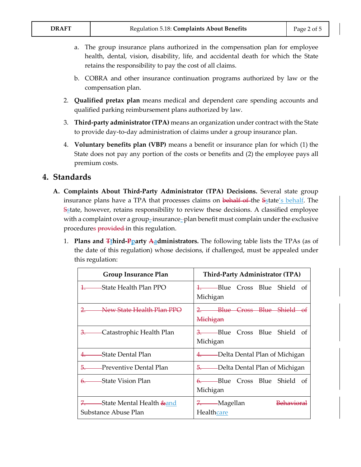- a. The group insurance plans authorized in the compensation plan for employee health, dental, vision, disability, life, and accidental death for which the State retains the responsibility to pay the cost of all claims.
- b. COBRA and other insurance continuation programs authorized by law or the compensation plan.
- 2. **Qualified pretax plan** means medical and dependent care spending accounts and qualified parking reimbursement plans authorized by law.
- 3. **Third-party administrator (TPA)** means an organization under contract with the State to provide day-to-day administration of claims under a group insurance plan.
- 4. **Voluntary benefits plan (VBP)** means a benefit or insurance plan for which (1) the State does not pay any portion of the costs or benefits and (2) the employee pays all premium costs.

### **4. Standards**

- **A. Complaints About Third-Party Administrator (TPA) Decisions.** Several state group insurance plans have a TPA that processes claims on behalf of the Sstate's behalf. The  $S<sub>S</sub>$  tate, however, retains responsibility to review these decisions. A classified employee with a complaint over a group-insurance--plan benefit must complain under the exclusive procedures provided in this regulation.
	- 1. **Plans and Tthird-Pparty Aadministrators.** The following table lists the TPAs (as of the date of this regulation) whose decisions, if challenged, must be appealed under this regulation:

| <b>Group Insurance Plan</b>                                         | Third-Party Administrator (TPA)          |
|---------------------------------------------------------------------|------------------------------------------|
| <del>1. State Health Plan PPO</del>                                 | 1. Blue Cross Blue Shield of<br>Michigan |
| ——New State Health Plan PPO                                         | 2. Blue Cross Blue Shield of<br>Michigan |
| 3. Catastrophic Health Plan                                         | 3. Blue Cross Blue Shield of<br>Michigan |
| 4. State Dental Plan                                                | 4. Delta Dental Plan of Michigan         |
| <del>5. Preventive Dental Plan</del>                                | 5. Delta Dental Plan of Michigan         |
| 6. State Vision Plan                                                | 6. Blue Cross Blue Shield of<br>Michigan |
| 7. State Mental Health <del>&amp; and</del><br>Substance Abuse Plan | 7. Magellan<br>Healthcare                |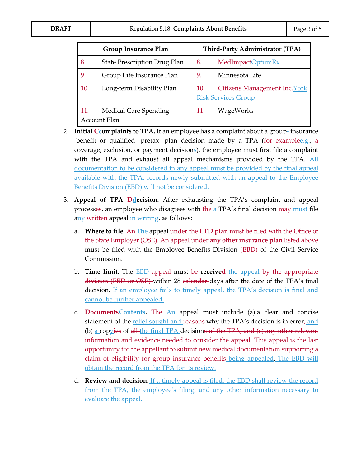| <b>Group Insurance Plan</b>                      | Third-Party Administrator (TPA)                                           |
|--------------------------------------------------|---------------------------------------------------------------------------|
| -State Prescription Drug Plan                    | - MedImpactOptumRx<br>8.                                                  |
| -Group Life Insurance Plan                       | ——Minnesota Life                                                          |
| 10. Long-term Disability Plan                    | <b>Citizens Management Inc.</b> York<br>10.<br><b>Risk Services Group</b> |
| 11. Medical Care Spending<br><b>Account Plan</b> | 11. WageWorks                                                             |

- 2. **Initial**  $\epsilon$  **complaints to TPA.** If an employee has a complaint about a group-insurance -benefit or qualified--pretax--plan decision made by a TPA ( $f$ or examplee.g., a coverage, exclusion, or payment decisions), the employee must first file a complaint with the TPA and exhaust all appeal mechanisms provided by the TPA. All documentation to be considered in any appeal must be provided by the final appeal available with the TPA; records newly submitted with an appeal to the Employee Benefits Division (EBD) will not be considered.
- 3. **Appeal of TPA Ddecision.** After exhausting the TPA's complaint and appeal processes, an employee who disagrees with the a TPA's final decision may must file any written appeal in writing, as follows:
	- a. **Where to file**. An The appeal under the **LTD plan** must be filed with the Office of the State Employer (OSE). An appeal under **any other insurance plan** listed above must be filed with the Employee Benefits Division (EBD) of the Civil Service Commission.
	- b. **Time limit.** The EBD appeal must be **received** the appeal by the appropriate division (EBD or OSE) within 28 calendar days after the date of the TPA's final decision. If an employee fails to timely appeal, the TPA's decision is final and cannot be further appealed.
	- c. **DocumentsContents.** The An appeal must include (a) a clear and concise statement of the relief sought and reasons why the TPA's decision is in error, and (b) a copyies of  $\frac{d}{dt}$  the final TPA decisions of the TPA, and (c) any other relevant information and evidence needed to consider the appeal. This appeal is the last opportunity for the appellant to submit new medical documentation supporting a claim of eligibility for group insurance benefits being appealed. The EBD will obtain the record from the TPA for its review.
	- d. **Review and decision.** If a timely appeal is filed, the EBD shall review the record from the TPA, the employee's filing, and any other information necessary to evaluate the appeal.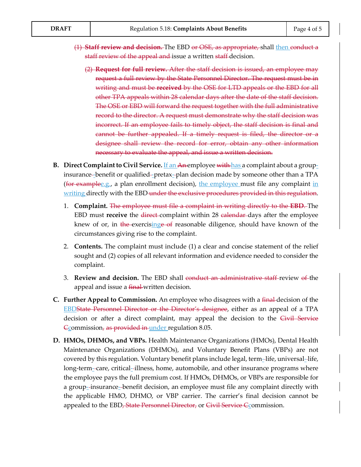- (1) **Staff review and decision.** The EBD or OSE, as appropriate, shall then conduct a staff review of the appeal and issue a written staff decision.
	- (2) **Request for full review.** After the staff decision is issued, an employee may request a full review by the State Personnel Director. The request must be in writing and must be **received** by the OSE for LTD appeals or the EBD for all other TPA appeals within 28 calendar days after the date of the staff decision. The OSE or EBD will forward the request together with the full administrative record to the director. A request must demonstrate why the staff decision was incorrect. If an employee fails to timely object, the staff decision is final and cannot be further appealed. If a timely request is filed, the director or a designee shall review the record for error, obtain any other information necessary to evaluate the appeal, and issue a written decision.
- **B.** Direct Complaint to Civil Service. If an An-employee with has a complaint about a groupinsurance-benefit or qualified-pretax--plan decision made by someone other than a TPA (for examplee.g., a plan enrollment decision), the employee must file any complaint in writing directly with the EBD under the exclusive procedures provided in this regulation.
	- 1. **Complaint.** The employee must file a complaint in writing directly to the **EBD**. The EBD must **receive** the direct complaint within 28 calendar days after the employee knew of or, in the exercisinge of reasonable diligence, should have known of the circumstances giving rise to the complaint.
	- 2. **Contents.** The complaint must include (1) a clear and concise statement of the relief sought and (2) copies of all relevant information and evidence needed to consider the complaint.
	- 3. **Review and decision.** The EBD shall conduct an administrative staff review of the appeal and issue a final written decision.
- **C. Further Appeal to Commission.** An employee who disagrees with a final decision of the EBDState Personnel Director or the Director's designee, either as an appeal of a TPA decision or after a direct complaint, may appeal the decision to the Civil Service Ecommission, as provided in under regulation 8.05.
- **D. HMOs, DHMOs, and VBPs.** Health Maintenance Organizations (HMOs), Dental Health Maintenance Organizations (DHMOs), and Voluntary Benefit Plans (VBPs) are not covered by this regulation. Voluntary benefit plans include legal, term-life, universal-life, long-term- care, critical- illness, home, automobile, and other insurance programs where the employee pays the full premium cost. If HMOs, DHMOs, or VBPs are responsible for a group- insurance- benefit decision, an employee must file any complaint directly with the applicable HMO, DHMO, or VBP carrier. The carrier's final decision cannot be appealed to the EBD, State Personnel Director, or Civil Service Commission.